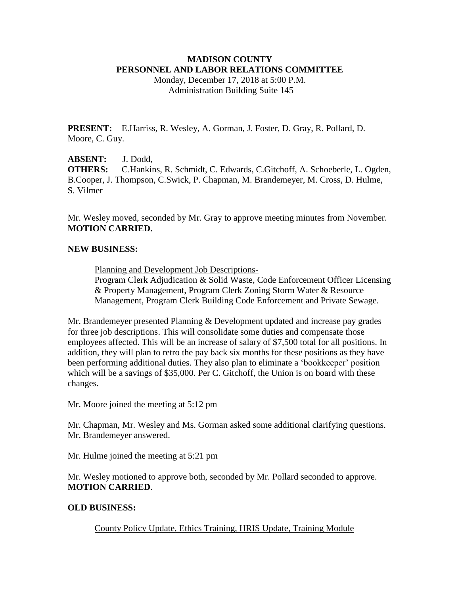## **MADISON COUNTY PERSONNEL AND LABOR RELATIONS COMMITTEE**

Monday, December 17, 2018 at 5:00 P.M. Administration Building Suite 145

**PRESENT:** E.Harriss, R. Wesley, A. Gorman, J. Foster, D. Gray, R. Pollard, D. Moore, C. Guy.

**ABSENT:** J. Dodd, **OTHERS:** C.Hankins, R. Schmidt, C. Edwards, C.Gitchoff, A. Schoeberle, L. Ogden, B.Cooper, J. Thompson, C.Swick, P. Chapman, M. Brandemeyer, M. Cross, D. Hulme, S. Vilmer

Mr. Wesley moved, seconded by Mr. Gray to approve meeting minutes from November. **MOTION CARRIED.**

#### **NEW BUSINESS:**

Planning and Development Job Descriptions-

Program Clerk Adjudication & Solid Waste, Code Enforcement Officer Licensing & Property Management, Program Clerk Zoning Storm Water & Resource Management, Program Clerk Building Code Enforcement and Private Sewage.

Mr. Brandemeyer presented Planning & Development updated and increase pay grades for three job descriptions. This will consolidate some duties and compensate those employees affected. This will be an increase of salary of \$7,500 total for all positions. In addition, they will plan to retro the pay back six months for these positions as they have been performing additional duties. They also plan to eliminate a 'bookkeeper' position which will be a savings of \$35,000. Per C. Gitchoff, the Union is on board with these changes.

Mr. Moore joined the meeting at 5:12 pm

Mr. Chapman, Mr. Wesley and Ms. Gorman asked some additional clarifying questions. Mr. Brandemeyer answered.

Mr. Hulme joined the meeting at 5:21 pm

Mr. Wesley motioned to approve both, seconded by Mr. Pollard seconded to approve. **MOTION CARRIED**.

### **OLD BUSINESS:**

County Policy Update, Ethics Training, HRIS Update, Training Module